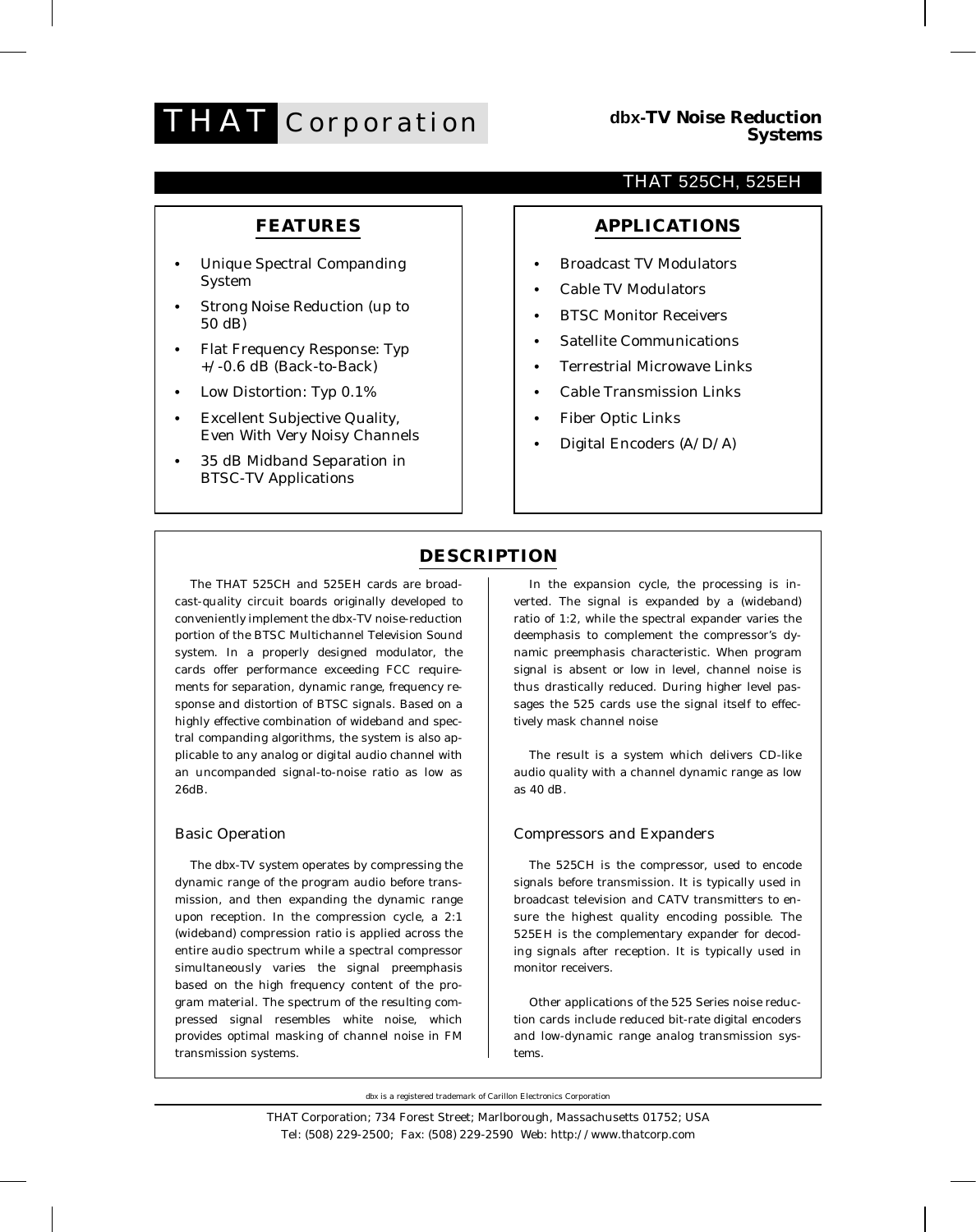

### **FEATURES**

- **•** Unique Spectral Companding System
- **•** Strong Noise Reduction (up to 50 dB)
- **•** Flat Frequency Response: Typ  $+/-0.6$  dB (Back-to-Back)
- **•** Low Distortion: Typ 0.1%
- **•** Excellent Subjective Quality, Even With Very Noisy Channels
- **•** 35 dB Midband Separation in BTSC-TV Applications

### THAT 525CH, 525EH

### **APPLICATIONS**

- **•** Broadcast TV Modulators
- **•** Cable TV Modulators
- **•** BTSC Monitor Receivers
- **•** Satellite Communications
- **•** Terrestrial Microwave Links
- **•** Cable Transmission Links
- **•** Fiber Optic Links
- **•** Digital Encoders (A/D/A)

## **DESCRIPTION**

The THAT 525CH and 525EH cards are broadcast-quality circuit boards originally developed to conveniently implement the dbx-TV noise-reduction portion of the BTSC Multichannel Television Sound system. In a properly designed modulator, the cards offer performance exceeding FCC requirements for separation, dynamic range, frequency response and distortion of BTSC signals. Based on a highly effective combination of wideband and spectral companding algorithms, the system is also applicable to any analog or digital audio channel with an uncompanded signal-to-noise ratio as low as 26dB.

#### Basic Operation

The dbx-TV system operates by compressing the dynamic range of the program audio before transmission, and then expanding the dynamic range upon reception. In the compression cycle, a 2:1 (wideband) compression ratio is applied across the entire audio spectrum while a spectral compressor simultaneously varies the signal preemphasis based on the high frequency content of the program material. The spectrum of the resulting compressed signal resembles white noise, which provides optimal masking of channel noise in FM transmission systems.

In the expansion cycle, the processing is inverted. The signal is expanded by a (wideband) ratio of 1:2, while the spectral expander varies the deemphasis to complement the compressor's dynamic preemphasis characteristic. When program signal is absent or low in level, channel noise is thus drastically reduced. During higher level passages the 525 cards use the signal itself to effectively mask channel noise

The result is a system which delivers CD-like audio quality with a channel dynamic range as low as 40 dB.

#### Compressors and Expanders

The 525CH is the compressor, used to encode signals before transmission. It is typically used in broadcast television and CATV transmitters to ensure the highest quality encoding possible. The 525EH is the complementary expander for decoding signals after reception. It is typically used in monitor receivers.

Other applications of the 525 Series noise reduction cards include reduced bit-rate digital encoders and low-dynamic range analog transmission systems.

dbx is a registered trademark of Carillon Electronics Corporation